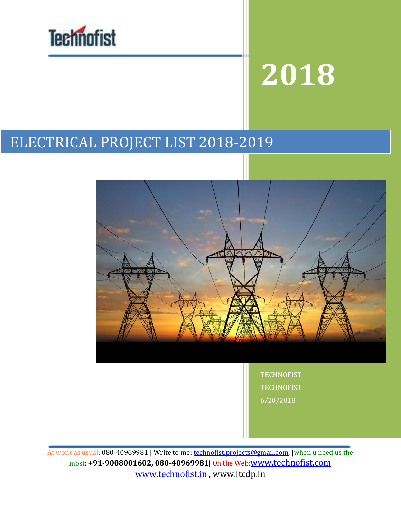

# **2018**

# ELECTRICAL PROJECT LIST 2018-2019



**TECHNOFIST TECHNOFIST** 6/20/2018

At work as usual: 080-40969981 | Write to me: technofist.projects@gmail.com, |when u need us the most: **+91-9008001602, 080-40969981**| On the Web:www.technofist.com www.technofist.in , www.itcdp.in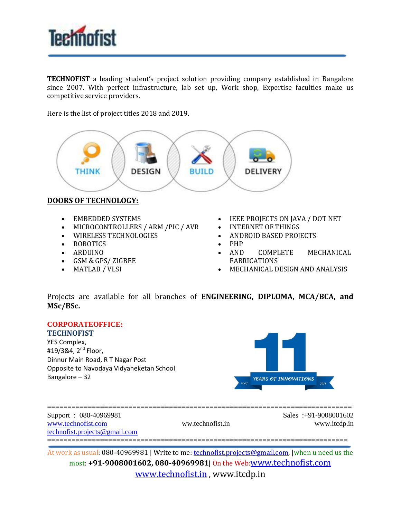

**TECHNOFIST** a leading student's project solution providing company established in Bangalore since 2007. With perfect infrastructure, lab set up, Work shop, Expertise faculties make us competitive service providers.

Here is the list of project titles 2018 and 2019.



#### **DOORS OF TECHNOLOGY:**

- EMBEDDED SYSTEMS
- MICROCONTROLLERS / ARM /PIC / AVR
- WIRELESS TECHNOLOGIES
- ROBOTICS
- ARDUINO
- GSM & GPS/ ZIGBEE
- MATLAB / VLSI
- IEEE PROJECTS ON JAVA / DOT NET
- INTERNET OF THINGS
- ANDROID BASED PROJECTS
- PHP
- AND COMPLETE MECHANICAL FABRICATIONS
- MECHANICAL DESIGN AND ANALYSIS

Projects are available for all branches of **ENGINEERING, DIPLOMA, MCA/BCA, and MSc/BSc.** 

#### **CORPORATEOFFICE:**

**TECHNOFIST** YES Complex, #19/3&4, 2<sup>nd</sup> Floor, Dinnur Main Road, R T Nagar Post Opposite to Navodaya Vidyaneketan School Bangalore – 32



| Support: 080-40969981         |                  | Sales $+91-9008001602$ |
|-------------------------------|------------------|------------------------|
| www.technofist.com            | ww.technofist.in | www.itcdp.in           |
| technofist.projects@gmail.com |                  |                        |
|                               |                  |                        |

At work as usual: 080-40969981 | Write to me: technofist.projects@gmail.com, | when u need us the most: **+91-9008001602, 080-40969981**| On the Web:www.technofist.com www.technofist.in , www.itcdp.in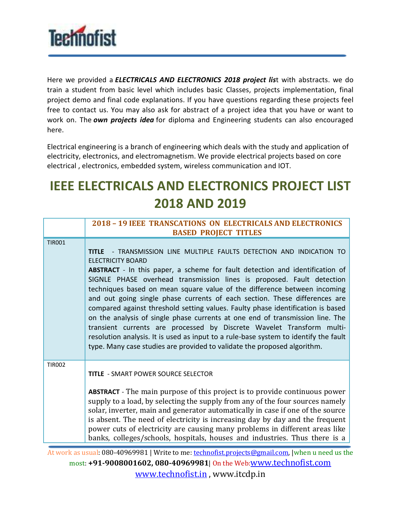

Here we provided a *ELECTRICALS AND ELECTRONICS 2018 project lis*t with abstracts. we do train a student from basic level which includes basic Classes, projects implementation, final project demo and final code explanations. If you have questions regarding these projects feel free to contact us. You may also ask for abstract of a project idea that you have or want to work on. The *own projects idea* for diploma and Engineering students can also encouraged here.

Electrical engineering is a branch of engineering which deals with the study and application of electricity, electronics, and electromagnetism. We provide electrical projects based on core electrical , electronics, embedded system, wireless communication and IOT.

## **IEEE ELECTRICALS AND ELECTRONICS PROJECT LIST 2018 AND 2019**

|               | <b>2018 - 19 IEEE TRANSCATIONS ON ELECTRICALS AND ELECTRONICS</b><br><b>BASED PROJECT TITLES</b>                                                                                                                                                                                                                                                                                                                                                                                                                                                                                                                                                                                                                                                                                                                                             |
|---------------|----------------------------------------------------------------------------------------------------------------------------------------------------------------------------------------------------------------------------------------------------------------------------------------------------------------------------------------------------------------------------------------------------------------------------------------------------------------------------------------------------------------------------------------------------------------------------------------------------------------------------------------------------------------------------------------------------------------------------------------------------------------------------------------------------------------------------------------------|
| <b>TIR001</b> | TITLE - TRANSMISSION LINE MULTIPLE FAULTS DETECTION AND INDICATION TO<br><b>ELECTRICITY BOARD</b><br><b>ABSTRACT</b> - In this paper, a scheme for fault detection and identification of<br>SIGNLE PHASE overhead transmission lines is proposed. Fault detection<br>techniques based on mean square value of the difference between incoming<br>and out going single phase currents of each section. These differences are<br>compared against threshold setting values. Faulty phase identification is based<br>on the analysis of single phase currents at one end of transmission line. The<br>transient currents are processed by Discrete Wavelet Transform multi-<br>resolution analysis. It is used as input to a rule-base system to identify the fault<br>type. Many case studies are provided to validate the proposed algorithm. |
| <b>TIR002</b> | <b>TITLE - SMART POWER SOURCE SELECTOR</b><br><b>ABSTRACT</b> - The main purpose of this project is to provide continuous power<br>supply to a load, by selecting the supply from any of the four sources namely<br>solar, inverter, main and generator automatically in case if one of the source<br>is absent. The need of electricity is increasing day by day and the frequent<br>power cuts of electricity are causing many problems in different areas like<br>banks, colleges/schools, hospitals, houses and industries. Thus there is a                                                                                                                                                                                                                                                                                              |

At work as usual: 080-40969981 | Write to me: technofist.projects@gmail.com, when u need us the most: **+91-9008001602, 080-40969981**| On the Web:www.technofist.com www.technofist.in , www.itcdp.in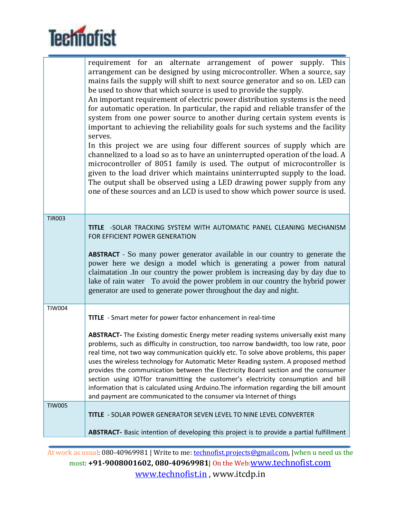

|               | requirement for an alternate arrangement of power supply. This<br>arrangement can be designed by using microcontroller. When a source, say<br>mains fails the supply will shift to next source generator and so on. LED can<br>be used to show that which source is used to provide the supply.<br>An important requirement of electric power distribution systems is the need<br>for automatic operation. In particular, the rapid and reliable transfer of the<br>system from one power source to another during certain system events is<br>important to achieving the reliability goals for such systems and the facility<br>serves.<br>In this project we are using four different sources of supply which are<br>channelized to a load so as to have an uninterrupted operation of the load. A<br>microcontroller of 8051 family is used. The output of microcontroller is<br>given to the load driver which maintains uninterrupted supply to the load.<br>The output shall be observed using a LED drawing power supply from any<br>one of these sources and an LCD is used to show which power source is used. |
|---------------|-------------------------------------------------------------------------------------------------------------------------------------------------------------------------------------------------------------------------------------------------------------------------------------------------------------------------------------------------------------------------------------------------------------------------------------------------------------------------------------------------------------------------------------------------------------------------------------------------------------------------------------------------------------------------------------------------------------------------------------------------------------------------------------------------------------------------------------------------------------------------------------------------------------------------------------------------------------------------------------------------------------------------------------------------------------------------------------------------------------------------|
| <b>TIR003</b> | TITLE -SOLAR TRACKING SYSTEM WITH AUTOMATIC PANEL CLEANING MECHANISM<br>FOR EFFICIENT POWER GENERATION<br><b>ABSTRACT</b> - So many power generator available in our country to generate the<br>power here we design a model which is generating a power from natural<br>claimatation. In our country the power problem is increasing day by day due to<br>lake of rain water To avoid the power problem in our country the hybrid power<br>generator are used to generate power throughout the day and night.                                                                                                                                                                                                                                                                                                                                                                                                                                                                                                                                                                                                          |
| <b>TIW004</b> | TITLE - Smart meter for power factor enhancement in real-time<br>ABSTRACT- The Existing domestic Energy meter reading systems universally exist many<br>problems, such as difficulty in construction, too narrow bandwidth, too low rate, poor<br>real time, not two way communication quickly etc. To solve above problems, this paper<br>uses the wireless technology for Automatic Meter Reading system. A proposed method<br>provides the communication between the Electricity Board section and the consumer<br>section using IOTfor transmitting the customer's electricity consumption and bill<br>information that is calculated using Arduino. The information regarding the bill amount<br>and payment are communicated to the consumer via Internet of things                                                                                                                                                                                                                                                                                                                                               |
| <b>TIW005</b> | TITLE - SOLAR POWER GENERATOR SEVEN LEVEL TO NINE LEVEL CONVERTER<br>ABSTRACT- Basic intention of developing this project is to provide a partial fulfillment                                                                                                                                                                                                                                                                                                                                                                                                                                                                                                                                                                                                                                                                                                                                                                                                                                                                                                                                                           |

At work as usual: 080-40969981 | Write to me: technofist.projects@gmail.com, |when u need us the most: **+91-9008001602, 080-40969981**| On the Web:www.technofist.com www.technofist.in , www.itcdp.in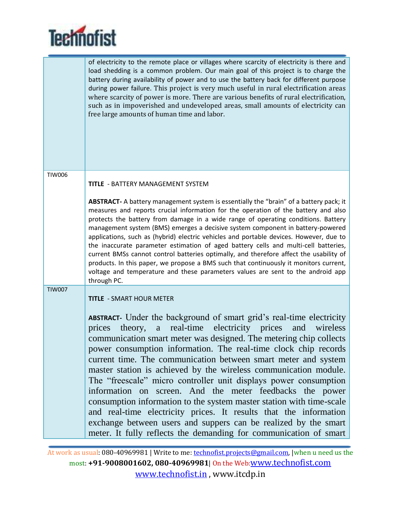

|               | of electricity to the remote place or villages where scarcity of electricity is there and<br>load shedding is a common problem. Our main goal of this project is to charge the<br>battery during availability of power and to use the battery back for different purpose<br>during power failure. This project is very much useful in rural electrification areas<br>where scarcity of power is more. There are various benefits of rural electrification,<br>such as in impoverished and undeveloped areas, small amounts of electricity can<br>free large amounts of human time and labor.                                                                                                                                                                                                                                                                     |
|---------------|------------------------------------------------------------------------------------------------------------------------------------------------------------------------------------------------------------------------------------------------------------------------------------------------------------------------------------------------------------------------------------------------------------------------------------------------------------------------------------------------------------------------------------------------------------------------------------------------------------------------------------------------------------------------------------------------------------------------------------------------------------------------------------------------------------------------------------------------------------------|
| <b>TIW006</b> |                                                                                                                                                                                                                                                                                                                                                                                                                                                                                                                                                                                                                                                                                                                                                                                                                                                                  |
|               | <b>TITLE - BATTERY MANAGEMENT SYSTEM</b>                                                                                                                                                                                                                                                                                                                                                                                                                                                                                                                                                                                                                                                                                                                                                                                                                         |
|               | ABSTRACT- A battery management system is essentially the "brain" of a battery pack; it<br>measures and reports crucial information for the operation of the battery and also<br>protects the battery from damage in a wide range of operating conditions. Battery<br>management system (BMS) emerges a decisive system component in battery-powered<br>applications, such as (hybrid) electric vehicles and portable devices. However, due to<br>the inaccurate parameter estimation of aged battery cells and multi-cell batteries,<br>current BMSs cannot control batteries optimally, and therefore affect the usability of<br>products. In this paper, we propose a BMS such that continuously it monitors current,<br>voltage and temperature and these parameters values are sent to the android app<br>through PC.                                        |
| <b>TIW007</b> |                                                                                                                                                                                                                                                                                                                                                                                                                                                                                                                                                                                                                                                                                                                                                                                                                                                                  |
|               | <b>TITLE - SMART HOUR METER</b>                                                                                                                                                                                                                                                                                                                                                                                                                                                                                                                                                                                                                                                                                                                                                                                                                                  |
|               | <b>ABSTRACT</b> - Under the background of smart grid's real-time electricity<br>real-time<br>electricity prices<br>and<br>wireless<br>prices<br>theory,<br>a<br>communication smart meter was designed. The metering chip collects<br>power consumption information. The real-time clock chip records<br>current time. The communication between smart meter and system<br>master station is achieved by the wireless communication module.<br>The "freescale" micro controller unit displays power consumption<br>information on screen. And the meter feedbacks the power<br>consumption information to the system master station with time-scale<br>and real-time electricity prices. It results that the information<br>exchange between users and suppers can be realized by the smart<br>meter. It fully reflects the demanding for communication of smart |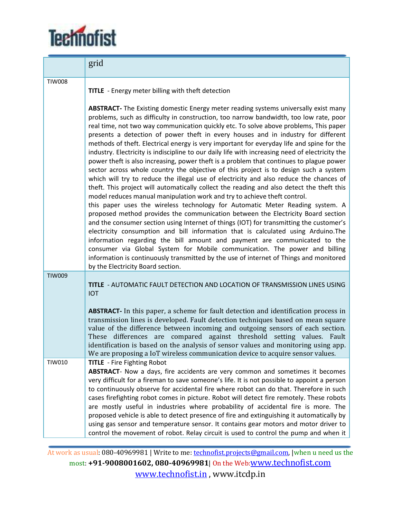

|               | grid                                                                                                                                                                                                                                                                                                                                                                                                                                                                                                                                                                                                                                                                                                                                                                                                                                                                                                                                                                                                                                                                                                                                                                                                                                                                                                                                                                                                                                                                                                                                                                                                                                                                     |
|---------------|--------------------------------------------------------------------------------------------------------------------------------------------------------------------------------------------------------------------------------------------------------------------------------------------------------------------------------------------------------------------------------------------------------------------------------------------------------------------------------------------------------------------------------------------------------------------------------------------------------------------------------------------------------------------------------------------------------------------------------------------------------------------------------------------------------------------------------------------------------------------------------------------------------------------------------------------------------------------------------------------------------------------------------------------------------------------------------------------------------------------------------------------------------------------------------------------------------------------------------------------------------------------------------------------------------------------------------------------------------------------------------------------------------------------------------------------------------------------------------------------------------------------------------------------------------------------------------------------------------------------------------------------------------------------------|
| <b>TIW008</b> | <b>TITLE</b> - Energy meter billing with theft detection                                                                                                                                                                                                                                                                                                                                                                                                                                                                                                                                                                                                                                                                                                                                                                                                                                                                                                                                                                                                                                                                                                                                                                                                                                                                                                                                                                                                                                                                                                                                                                                                                 |
|               | <b>ABSTRACT-</b> The Existing domestic Energy meter reading systems universally exist many<br>problems, such as difficulty in construction, too narrow bandwidth, too low rate, poor<br>real time, not two way communication quickly etc. To solve above problems, This paper<br>presents a detection of power theft in every houses and in industry for different<br>methods of theft. Electrical energy is very important for everyday life and spine for the<br>industry. Electricity is indiscipline to our daily life with increasing need of electricity the<br>power theft is also increasing, power theft is a problem that continues to plague power<br>sector across whole country the objective of this project is to design such a system<br>which will try to reduce the illegal use of electricity and also reduce the chances of<br>theft. This project will automatically collect the reading and also detect the theft this<br>model reduces manual manipulation work and try to achieve theft control.<br>this paper uses the wireless technology for Automatic Meter Reading system. A<br>proposed method provides the communication between the Electricity Board section<br>and the consumer section using Internet of things (IOT) for transmitting the customer's<br>electricity consumption and bill information that is calculated using Arduino. The<br>information regarding the bill amount and payment are communicated to the<br>consumer via Global System for Mobile communication. The power and billing<br>information is continuously transmitted by the use of internet of Things and monitored<br>by the Electricity Board section. |
| <b>TIW009</b> | TITLE - AUTOMATIC FAULT DETECTION AND LOCATION OF TRANSMISSION LINES USING<br><b>IOT</b>                                                                                                                                                                                                                                                                                                                                                                                                                                                                                                                                                                                                                                                                                                                                                                                                                                                                                                                                                                                                                                                                                                                                                                                                                                                                                                                                                                                                                                                                                                                                                                                 |
|               | <b>ABSTRACT</b> - In this paper, a scheme for fault detection and identification process in<br>transmission lines is developed. Fault detection techniques based on mean square<br>value of the difference between incoming and outgoing sensors of each section.<br>compared against threshold setting values. Fault<br>These differences are<br>identification is based on the analysis of sensor values and monitoring using app.<br>We are proposing a IoT wireless communication device to acquire sensor values.                                                                                                                                                                                                                                                                                                                                                                                                                                                                                                                                                                                                                                                                                                                                                                                                                                                                                                                                                                                                                                                                                                                                                   |
| <b>TIW010</b> | <b>TITLE</b> - Fire Fighting Robot<br>ABSTRACT- Now a days, fire accidents are very common and sometimes it becomes<br>very difficult for a fireman to save someone's life. It is not possible to appoint a person<br>to continuously observe for accidental fire where robot can do that. Therefore in such<br>cases firefighting robot comes in picture. Robot will detect fire remotely. These robots<br>are mostly useful in industries where probability of accidental fire is more. The<br>proposed vehicle is able to detect presence of fire and extinguishing it automatically by<br>using gas sensor and temperature sensor. It contains gear motors and motor driver to<br>control the movement of robot. Relay circuit is used to control the pump and when it                                                                                                                                                                                                                                                                                                                                                                                                                                                                                                                                                                                                                                                                                                                                                                                                                                                                                               |

At work as usual: 080-40969981 | Write to me: technofist.projects@gmail.com, |when u need us the most: **+91-9008001602, 080-40969981**| On the Web:www.technofist.com www.technofist.in , www.itcdp.in